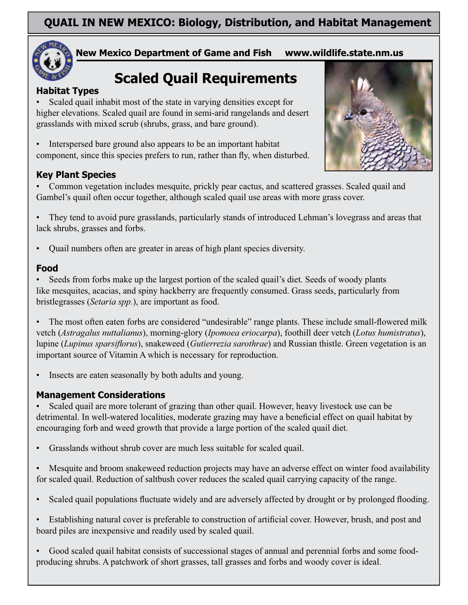

**New Mexico Department of Game and Fish** www.wildlife.state.nm.us

# **Scaled Quail Requirements**

#### **Habitat Types**

Scaled quail inhabit most of the state in varying densities except for higher elevations. Scaled quail are found in semi-arid rangelands and desert grasslands with mixed scrub (shrubs, grass, and bare ground).

Interspersed bare ground also appears to be an important habitat component, since this species prefers to run, rather than fly, when disturbed.

#### **Key Plant Species**

Common vegetation includes mesquite, prickly pear cactus, and scattered grasses. Scaled quail and Gambel's quail often occur together, although scaled quail use areas with more grass cover.

They tend to avoid pure grasslands, particularly stands of introduced Lehman's lovegrass and areas that lack shrubs, grasses and forbs.

Quail numbers often are greater in areas of high plant species diversity.

#### Food

Seeds from forbs make up the largest portion of the scaled quail's diet. Seeds of woody plants like mesquites, acacias, and spiny hackberry are frequently consumed. Grass seeds, particularly from bristlegrasses (Setaria spp.), are important as food.

The most often eaten forbs are considered "undesirable" range plants. These include small-flowered milk vetch (Astragalus nuttalianus), morning-glory (Ipomoea eriocarpa), foothill deer vetch (Lotus humistratus), lupine (Lupinus sparsiflorus), snakeweed (Gutierrezia sarothrae) and Russian thistle. Green vegetation is an important source of Vitamin A which is necessary for reproduction.

Insects are eaten seasonally by both adults and young.

#### **Management Considerations**

Scaled quail are more tolerant of grazing than other quail. However, heavy livestock use can be detrimental. In well-watered localities, moderate grazing may have a beneficial effect on quail habitat by encouraging forb and weed growth that provide a large portion of the scaled quail diet.

Grasslands without shrub cover are much less suitable for scaled quail.

Mesquite and broom snakeweed reduction projects may have an adverse effect on winter food availability for scaled quail. Reduction of saltbush cover reduces the scaled quail carrying capacity of the range.

Scaled quail populations fluctuate widely and are adversely affected by drought or by prolonged flooding.

Establishing natural cover is preferable to construction of artificial cover. However, brush, and post and board piles are inexpensive and readily used by scaled quail.

Good scaled quail habitat consists of successional stages of annual and perennial forbs and some foodproducing shrubs. A patchwork of short grasses, tall grasses and forbs and woody cover is ideal.

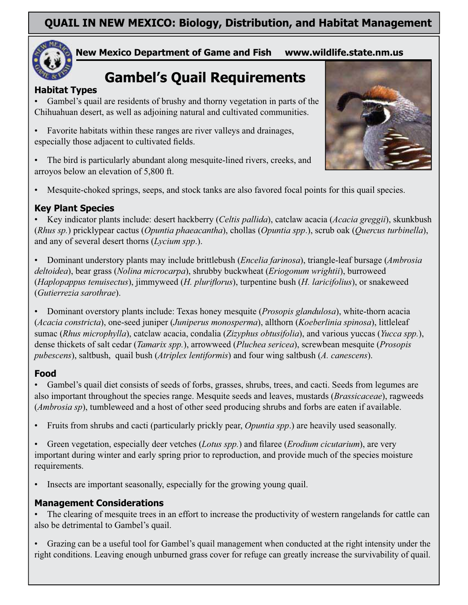

#### **New Mexico Department of Game and Fish www.wildlife.state.nm.us**

## **Gambel's Quail Requirements**

#### **Habitat Types**

Gambel's quail are residents of brushy and thorny vegetation in parts of the Chihuahuan desert, as well as adjoining natural and cultivated communities.

Favorite habitats within these ranges are river valleys and drainages, especially those adjacent to cultivated fields.

The bird is particularly abundant along mesquite-lined rivers, creeks, and arroyos below an elevation of 5,800 ft.



Mesquite-choked springs, seeps, and stock tanks are also favored focal points for this quail species.

#### **Key Plant Species**

Key indicator plants include: desert hackberry *(Celtis pallida)*, catclaw acacia *(Acacia greggii)*, skunkbush *(Rhus sp.)* pricklypear cactus *(Opuntia phaeacantha)*, chollas *(Opuntia spp.)*, scrub oak *(Quercus turbinella*), and any of several desert thorns (*Lycium spp*.).

Dominant understory plants may include brittlebush (*Encelia farinosa*), triangle-leaf bursage (*Ambrosia*  $delta$ , bear grass (Nolina microcarpa), shrubby buckwheat (Eriogonum wrightii), burroweed *(Haplopappus tenuisectus)*, jimmyweed *(H. pluriflorus)*, turpentine bush *(H. laricifolius)*, or snakeweed *Gutierrezia sarothrae* 

• Dominant overstory plants include: Texas honey mesquite (*Prosopis glandulosa*), white-thorn acacia (Acacia constricta), one-seed juniper (Juniperus monosperma), allthorn (Koeberlinia spinosa), littleleaf sumac (Rhus microphylla), catclaw acacia, condalia (Zizyphus obtusifolia), and various yuccas (Yucca spp.), dense thickets of salt cedar (*Tamarix spp.*), arrowweed (*Pluchea sericea*), screwbean mesquite (*Prosopis pubescens*), saltbush, quail bush (Atriplex lentiformis) and four wing saltbush (A. canescens).

#### **Food**

• Gambel's quail diet consists of seeds of forbs, grasses, shrubs, trees, and cacti. Seeds from legumes are also important throughout the species range. Mesquite seeds and leaves, mustards (*Brassicaceae*), ragweeds *(Ambrosia sp*), tumbleweed and a host of other seed producing shrubs and forbs are eaten if available.

• Fruits from shrubs and cacti (particularly prickly pear, *Opuntia spp*.) are heavily used seasonally.

• Green vegetation, especially deer vetches *(Lotus spp.)* and filaree *(Erodium cicutarium*), are very important during winter and early spring prior to reproduction, and provide much of the species moisture requirements.

Insects are important seasonally, especially for the growing young quail.

#### **Management Considerations**

The clearing of mesquite trees in an effort to increase the productivity of western rangelands for cattle can also be detrimental to Gambel's quail.

Grazing can be a useful tool for Gambel's quail management when conducted at the right intensity under the right conditions. Leaving enough unburned grass cover for refuge can greatly increase the survivability of quail.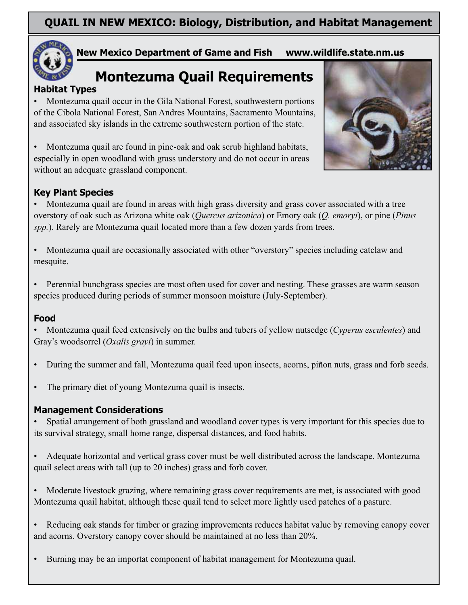

#### **New Mexico Department of Game and Fish www.wildlife.state.nm.us**

## **Montezuma Quail Requirements**

#### **Habitat Types**

• Montezuma quail occur in the Gila National Forest, southwestern portions of the Cibola National Forest, San Andres Mountains, Sacramento Mountains, and associated sky islands in the extreme southwestern portion of the state.

Montezuma quail are found in pine-oak and oak scrub highland habitats, especially in open woodland with grass understory and do not occur in areas without an adequate grassland component.



#### **Key Plant Species**

• Montezuma quail are found in areas with high grass diversity and grass cover associated with a tree overstory of oak such as Arizona white oak (*Quercus arizonica*) or Emory oak (*Q. emoryi*), or pine (*Pinus spp.*). Rarely are Montezuma quail located more than a few dozen yards from trees.

Montezuma quail are occasionally associated with other "overstory" species including catclaw and mesquite.

Perennial bunchgrass species are most often used for cover and nesting. These grasses are warm season species produced during periods of summer monsoon moisture (July-September).

#### **Food**

Montezuma quail feed extensively on the bulbs and tubers of yellow nutsedge (*Cyperus esculentes*) and Gray's woodsorrel (*Oxalis grayi*) in summer.

- During the summer and fall, Montezuma quail feed upon insects, acorns, piñon nuts, grass and forb seeds.
- The primary diet of young Montezuma quail is insects.

#### **Management Considerations**

Spatial arrangement of both grassland and woodland cover types is very important for this species due to its survival strategy, small home range, dispersal distances, and food habits.

- Adequate horizontal and vertical grass cover must be well distributed across the landscape. Montezuma quail select areas with tall (up to 20 inches) grass and forb cover.
- Moderate livestock grazing, where remaining grass cover requirements are met, is associated with good Montezuma quail habitat, although these quail tend to select more lightly used patches of a pasture.
- Reducing oak stands for timber or grazing improvements reduces habitat value by removing canopy cover and acorns. Overstory canopy cover should be maintained at no less than  $20\%$ .
- Burning may be an importat component of habitat management for Montezuma quail.